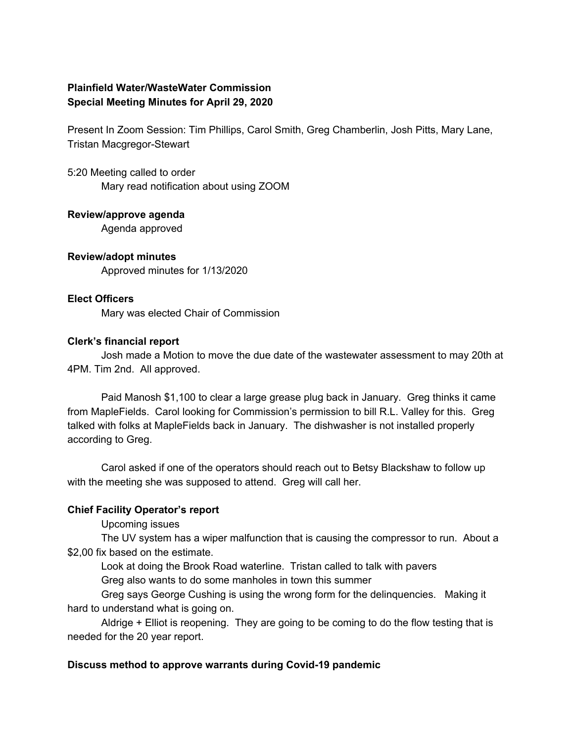# **Plainfield Water/WasteWater Commission Special Meeting Minutes for April 29, 2020**

Present In Zoom Session: Tim Phillips, Carol Smith, Greg Chamberlin, Josh Pitts, Mary Lane, Tristan Macgregor-Stewart

5:20 Meeting called to order Mary read notification about using ZOOM

**Review/approve agenda**

Agenda approved

**Review/adopt minutes** Approved minutes for 1/13/2020

#### **Elect Officers**

Mary was elected Chair of Commission

### **Clerk's financial report**

Josh made a Motion to move the due date of the wastewater assessment to may 20th at 4PM. Tim 2nd. All approved.

Paid Manosh \$1,100 to clear a large grease plug back in January. Greg thinks it came from MapleFields. Carol looking for Commission's permission to bill R.L. Valley for this. Greg talked with folks at MapleFields back in January. The dishwasher is not installed properly according to Greg.

Carol asked if one of the operators should reach out to Betsy Blackshaw to follow up with the meeting she was supposed to attend. Greg will call her.

# **Chief Facility Operator's report**

Upcoming issues

The UV system has a wiper malfunction that is causing the compressor to run. About a \$2,00 fix based on the estimate.

Look at doing the Brook Road waterline. Tristan called to talk with pavers Greg also wants to do some manholes in town this summer

Greg says George Cushing is using the wrong form for the delinquencies. Making it hard to understand what is going on.

Aldrige + Elliot is reopening. They are going to be coming to do the flow testing that is needed for the 20 year report.

# **Discuss method to approve warrants during Covid-19 pandemic**